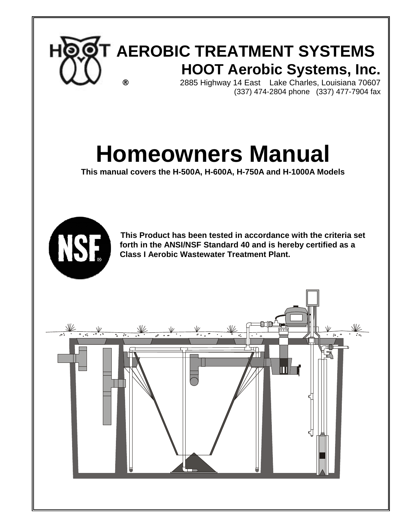

# **Homeowners Manual**

**This manual covers the H-500A, H-600A, H-750A and H-1000A Models**



 **This Product has been tested in accordance with the criteria set forth in the ANSI/NSF Standard 40 and is hereby certified as a Class I Aerobic Wastewater Treatment Plant.**

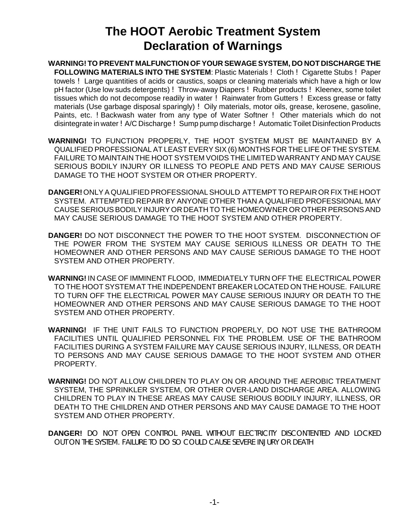### **The HOOT Aerobic Treatment System Declaration of Warnings**

- **WARNING! TO PREVENT MALFUNCTION OF YOUR SEWAGE SYSTEM, DO NOT DISCHARGE THE FOLLOWING MATERIALS INTO THE SYSTEM**: Plastic Materials ! Cloth ! Cigarette Stubs ! Paper towels ! Large quantities of acids or caustics, soaps or cleaning materials which have a high or low pH factor (Use low suds detergents) ! Throw-away Diapers ! Rubber products ! Kleenex, some toilet tissues which do not decompose readily in water ! Rainwater from Gutters ! Excess grease or fatty materials (Use garbage disposal sparingly) ! Oily materials, motor oils, grease, kerosene, gasoline, Paints, etc. !Backwash water from any type of Water Softner ! Other materials which do not disintegrate in water !A/C Discharge ! Sump pump discharge ! Automatic Toilet Disinfection Products
- **WARNING!** TO FUNCTION PROPERLY, THE HOOT SYSTEM MUST BE MAINTAINED BY A QUALIFIED PROFESSIONAL AT LEAST EVERY SIX (6) MONTHS FOR THE LIFE OF THE SYSTEM. FAILURE TO MAINTAIN THE HOOT SYSTEM VOIDS THE LIMITED WARRANTY AND MAY CAUSE SERIOUS BODILY INJURY OR ILLNESS TO PEOPLE AND PETS AND MAY CAUSE SERIOUS DAMAGE TO THE HOOT SYSTEM OR OTHER PROPERTY.
- **DANGER!** ONLY A QUALIFIED PROFESSIONAL SHOULD ATTEMPT TO REPAIR OR FIX THE HOOT SYSTEM. ATTEMPTED REPAIR BY ANYONE OTHER THAN A QUALIFIED PROFESSIONAL MAY CAUSE SERIOUS BODILY INJURY OR DEATH TO THE HOMEOWNER OR OTHER PERSONS AND MAY CAUSE SERIOUS DAMAGE TO THE HOOT SYSTEM AND OTHER PROPERTY.
- **DANGER!** DO NOT DISCONNECT THE POWER TO THE HOOT SYSTEM. DISCONNECTION OF THE POWER FROM THE SYSTEM MAY CAUSE SERIOUS ILLNESS OR DEATH TO THE HOMEOWNER AND OTHER PERSONS AND MAY CAUSE SERIOUS DAMAGE TO THE HOOT SYSTEM AND OTHER PROPERTY.
- **WARNING!** IN CASE OF IMMINENT FLOOD, IMMEDIATELY TURN OFF THE ELECTRICAL POWER TO THE HOOT SYSTEM AT THE INDEPENDENT BREAKER LOCATED ON THE HOUSE. FAILURE TO TURN OFF THE ELECTRICAL POWER MAY CAUSE SERIOUS INJURY OR DEATH TO THE HOMEOWNER AND OTHER PERSONS AND MAY CAUSE SERIOUS DAMAGE TO THE HOOT SYSTEM AND OTHER PROPERTY.
- **WARNING!** IF THE UNIT FAILS TO FUNCTION PROPERLY, DO NOT USE THE BATHROOM FACILITIES UNTIL QUALIFIED PERSONNEL FIX THE PROBLEM. USE OF THE BATHROOM FACILITIES DURING A SYSTEM FAILURE MAY CAUSE SERIOUS INJURY, ILLNESS, OR DEATH TO PERSONS AND MAY CAUSE SERIOUS DAMAGE TO THE HOOT SYSTEM AND OTHER PROPERTY.
- **WARNING!** DO NOT ALLOW CHILDREN TO PLAY ON OR AROUND THE AEROBIC TREATMENT SYSTEM, THE SPRINKLER SYSTEM, OR OTHER OVER-LAND DISCHARGE AREA. ALLOWING CHILDREN TO PLAY IN THESE AREAS MAY CAUSE SERIOUS BODILY INJURY, ILLNESS, OR DEATH TO THE CHILDREN AND OTHER PERSONS AND MAY CAUSE DAMAGE TO THE HOOT SYSTEM AND OTHER PROPERTY.
- **DANGER!** DO NOT OPEN CONTROL PANEL WITHOUT ELECTRICITY DISCONTENTED AND LOCKED OUT ON THE SYSTEM. FAILURE TO DO SO COULD CAUSE SEVERE INJURY OR DEATH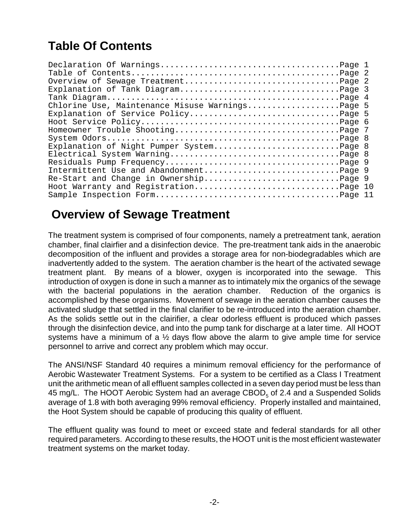### **Table Of Contents**

| Chlorine Use, Maintenance Misuse WarningsPage 5 |  |
|-------------------------------------------------|--|
|                                                 |  |
|                                                 |  |
|                                                 |  |
|                                                 |  |
| Explanation of Night Pumper SystemPage 8        |  |
|                                                 |  |
|                                                 |  |
|                                                 |  |
| Re-Start and Change in OwnershipPage 9          |  |
| Hoot Warranty and RegistrationPage 10           |  |
|                                                 |  |

### **Overview of Sewage Treatment**

The treatment system is comprised of four components, namely a pretreatment tank, aeration chamber, final clairfier and a disinfection device. The pre-treatment tank aids in the anaerobic decomposition of the influent and provides a storage area for non-biodegradables which are inadvertently added to the system. The aeration chamber is the heart of the activated sewage treatment plant. By means of a blower, oxygen is incorporated into the sewage. This introduction of oxygen is done in such a manner as to intimately mix the organics of the sewage with the bacterial populations in the aeration chamber. Reduction of the organics is accomplished by these organisms. Movement of sewage in the aeration chamber causes the activated sludge that settled in the final clarifier to be re-introduced into the aeration chamber. As the solids settle out in the clairifier, a clear odorless effluent is produced which passes through the disinfection device, and into the pump tank for discharge at a later time. All HOOT systems have a minimum of a  $\frac{1}{2}$  days flow above the alarm to give ample time for service personnel to arrive and correct any problem which may occur.

The ANSI/NSF Standard 40 requires a minimum removal efficiency for the performance of Aerobic Wastewater Treatment Systems. For a system to be certified as a Class I Treatment unit the arithmetic mean of all effluent samples collected in a seven day period must be less than 45 mg/L. The HOOT Aerobic System had an average  $CBOD<sub>5</sub>$  of 2.4 and a Suspended Solids average of 1.8 with both averaging 99% removal efficiency. Properly installed and maintained, the Hoot System should be capable of producing this quality of effluent.

The effluent quality was found to meet or exceed state and federal standards for all other required parameters. According to these results, the HOOT unit is the most efficient wastewater treatment systems on the market today.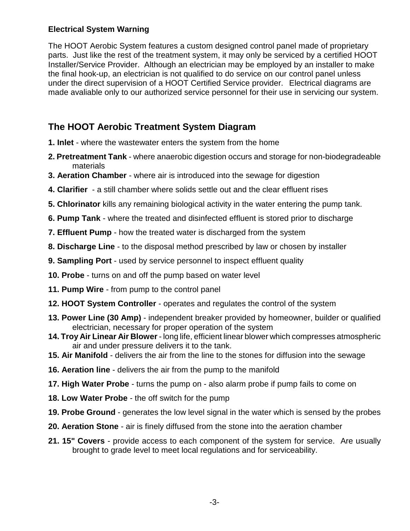#### **Electrical System Warning**

The HOOT Aerobic System features a custom designed control panel made of proprietary parts. Just like the rest of the treatment system, it may only be serviced by a certified HOOT Installer/Service Provider. Although an electrician may be employed by an installer to make the final hook-up, an electrician is not qualified to do service on our control panel unless under the direct supervision of a HOOT Certified Service provider. Electrical diagrams are made avaliable only to our authorized service personnel for their use in servicing our system.

#### **The HOOT Aerobic Treatment System Diagram**

- **1. Inlet** where the wastewater enters the system from the home
- **2. Pretreatment Tank** where anaerobic digestion occurs and storage for non-biodegradeable materials
- **3. Aeration Chamber** where air is introduced into the sewage for digestion
- **4. Clarifier**  a still chamber where solids settle out and the clear effluent rises
- **5. Chlorinator** kills any remaining biological activity in the water entering the pump tank.
- **6. Pump Tank** where the treated and disinfected effluent is stored prior to discharge
- **7. Effluent Pump** how the treated water is discharged from the system
- **8. Discharge Line** to the disposal method prescribed by law or chosen by installer
- **9. Sampling Port**  used by service personnel to inspect effluent quality
- **10. Probe** turns on and off the pump based on water level
- **11. Pump Wire** from pump to the control panel
- **12. HOOT System Controller** operates and regulates the control of the system
- **13. Power Line (30 Amp)** independent breaker provided by homeowner, builder or qualified electrician, necessary for proper operation of the system
- **14. Troy Air Linear Air Blower** long life, efficient linear blower which compresses atmospheric air and under pressure delivers it to the tank.
- **15. Air Manifold**  delivers the air from the line to the stones for diffusion into the sewage
- **16. Aeration line** delivers the air from the pump to the manifold
- **17. High Water Probe** turns the pump on also alarm probe if pump fails to come on
- **18. Low Water Probe** the off switch for the pump
- **19. Probe Ground** generates the low level signal in the water which is sensed by the probes
- **20. Aeration Stone** air is finely diffused from the stone into the aeration chamber
- **21. 15" Covers** provide access to each component of the system for service. Are usually brought to grade level to meet local regulations and for serviceability.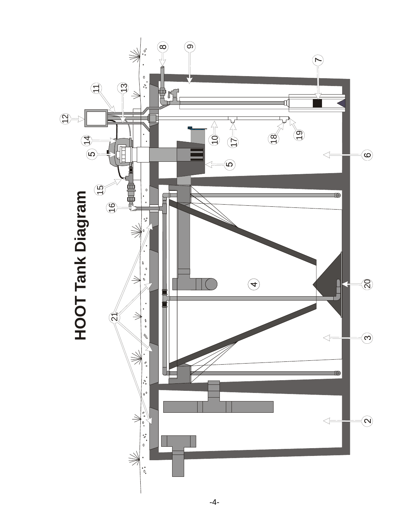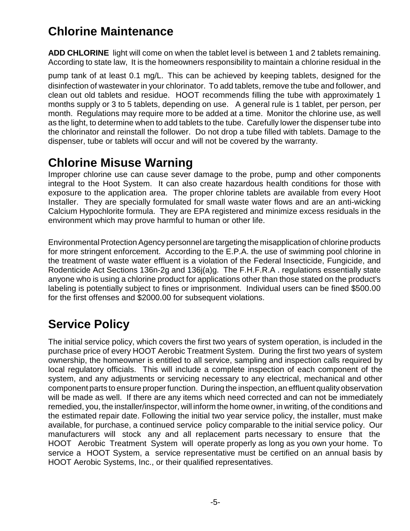### **Chlorine Maintenance**

**ADD CHLORINE** light will come on when the tablet level is between 1 and 2 tablets remaining. According to state law, It is the homeowners responsibility to maintain a chlorine residual in the

pump tank of at least 0.1 mg/L. This can be achieved by keeping tablets, designed for the disinfection of wastewater in your chlorinator. To add tablets, remove the tube and follower, and clean out old tablets and residue. HOOT recommends filling the tube with approximately 1 months supply or 3 to 5 tablets, depending on use. A general rule is 1 tablet, per person, per month. Regulations may require more to be added at a time. Monitor the chlorine use, as well as the light, to determine when to add tablets to the tube. Carefully lower the dispenser tube into the chlorinator and reinstall the follower. Do not drop a tube filled with tablets. Damage to the dispenser, tube or tablets will occur and will not be covered by the warranty.

### **Chlorine Misuse Warning**

Improper chlorine use can cause sever damage to the probe, pump and other components integral to the Hoot System. It can also create hazardous health conditions for those with exposure to the application area. The proper chlorine tablets are available from every Hoot Installer. They are specially formulated for small waste water flows and are an anti-wicking Calcium Hypochlorite formula. They are EPA registered and minimize excess residuals in the environment which may prove harmful to human or other life.

Environmental Protection Agency personnel are targeting the misapplication of chlorine products for more stringent enforcement. According to the E.P.A. the use of swimming pool chlorine in the treatment of waste water effluent is a violation of the Federal Insecticide, Fungicide, and Rodenticide Act Sections 136n-2g and 136j(a)g. The F.H.F.R.A . regulations essentially state anyone who is using a chlorine product for applications other than those stated on the product's labeling is potentially subject to fines or imprisonment. Individual users can be fined \$500.00 for the first offenses and \$2000.00 for subsequent violations.

## **Service Policy**

The initial service policy, which covers the first two years of system operation, is included in the purchase price of every HOOT Aerobic Treatment System. During the first two years of system ownership, the homeowner is entitled to all service, sampling and inspection calls required by local regulatory officials. This will include a complete inspection of each component of the system, and any adjustments or servicing necessary to any electrical, mechanical and other component parts to ensure proper function. During the inspection, an effluent quality observation will be made as well. If there are any items which need corrected and can not be immediately remedied, you, the installer/inspector, will inform the home owner, in writing, of the conditions and the estimated repair date. Following the initial two year service policy, the installer, must make available, for purchase, a continued service policy comparable to the initial service policy. Our manufacturers will stock any and all replacement parts necessary to ensure that the HOOT Aerobic Treatment System will operate properly as long as you own your home. To service a HOOT System, a service representative must be certified on an annual basis by HOOT Aerobic Systems, Inc., or their qualified representatives.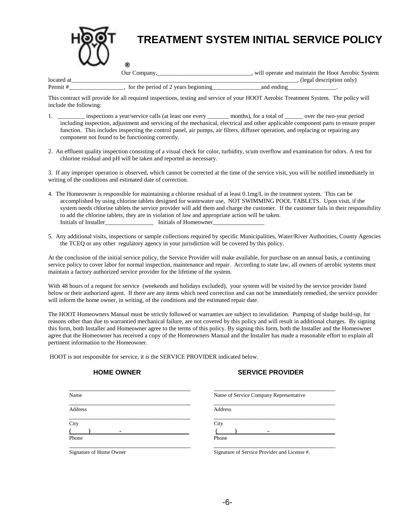

| Tocate           |                  | oni |  |  |
|------------------|------------------|-----|--|--|
| $D_{\alpha r m}$ | vear<br>ГO1<br>. | an. |  |  |

This contract will provide for all required inspections, testing and service of your HOOT Aerobic Treatment System. The policy will include the following:

- 1. \_\_\_\_\_\_\_\_\_ inspections a year/service calls (at least one every \_\_\_\_\_\_\_ months), for a total of \_\_\_\_\_ over the two-year period including inspection, adjustment and servicing of the mechanical, electrical and other applicable component parts to ensure proper function. This includes inspecting the control panel, air pumps, air filters, diffuser operation, and replacing or repairing any component not found to be functioning correctly.
- 2. An effluent quality inspection consisting of a visual check for color, turbidity, scum overflow and examination for odors. A test for chlorine residual and pH will be taken and reported as necessary.

3. If any improper operation is observed, which cannot be corrected at the time of the service visit, you will be notified immediately in writing of the conditions and estimated date of correction.

- 4. The Homeowner is responsible for maintaining a chlorine residual of at least 0.1mg/L in the treatment system. This can be accomplished by using chlorine tablets designed for wastewater use, NOT SWIMMING POOL TABLETS. Upon visit, if the system needs chlorine tablets the service provider will add them and charge the customer. If the customer fails in their responsibility to add the chlorine tablets, they are in violation of law and appropriate action will be taken. Initials of Installer **Initials of Homeowner**
- 5. Any additional visits, inspections or sample collections required by specific Municipalities, Water/River Authorities, County Agencies the TCEQ or any other regulatory agency in your jurisdiction will be covered by this policy.

At the conclusion of the initial service policy, the Service Provider will make available, for purchase on an annual basis, a continuing service policy to cover labor for normal inspection, maintenance and repair. According to state law, all owners of aerobic systems must maintain a factory authorized service provider for the lifetime of the system.

With 48 hours of a request for service (weekends and holidays excluded), your system will be visited by the service provider listed below or their authorized agent. If there are any items which need correction and can not be immediately remedied, the service provider will inform the home owner, in writing, of the conditions and the estimated repair date.

The HOOT Homeowners Manual must be strictly followed or warranties are subject to invalidation. Pumping of sludge build-up, for reasons other than due to warrantied mechanical failure, are not covered by this policy and will result in additional charges. By signing this form, both Installer and Homeowner agree to the terms of this policy. By signing this form, both the Installer and the Homeowner agree that the Homeowner has received a copy of the Homeowners Manual and the Installer has made a reasonable effort to explain all pertinent information to the Homeowner.

HOOT is not responsible for service, it is the SERVICE PROVIDER indicated below.

#### **HOME OWNER SERVICE PROVIDER**

| Name    | Name of Service Company Representative |
|---------|----------------------------------------|
| Address | Address                                |
| City    | City                                   |
| -       | -                                      |
| Phone   | Phone                                  |

Signature of Home Owner Signature of Service Provider and License #.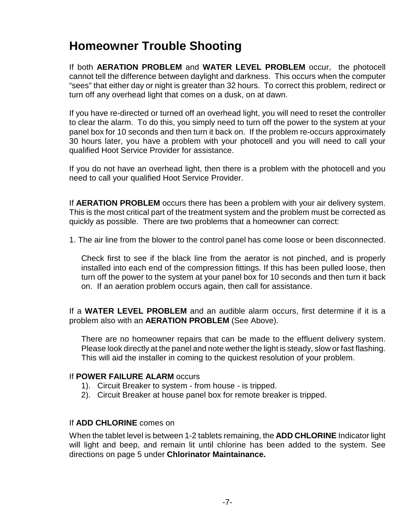### **Homeowner Trouble Shooting**

If both **AERATION PROBLEM** and **WATER LEVEL PROBLEM** occur, the photocell cannot tell the difference between daylight and darkness. This occurs when the computer "sees" that either day or night is greater than 32 hours. To correct this problem, redirect or turn off any overhead light that comes on a dusk, on at dawn.

If you have re-directed or turned off an overhead light, you will need to reset the controller to clear the alarm. To do this, you simply need to turn off the power to the system at your panel box for 10 seconds and then turn it back on. If the problem re-occurs approximately 30 hours later, you have a problem with your photocell and you will need to call your qualified Hoot Service Provider for assistance.

If you do not have an overhead light, then there is a problem with the photocell and you need to call your qualified Hoot Service Provider.

If **AERATION PROBLEM** occurs there has been a problem with your air delivery system. This is the most critical part of the treatment system and the problem must be corrected as quickly as possible. There are two problems that a homeowner can correct:

1. The air line from the blower to the control panel has come loose or been disconnected.

Check first to see if the black line from the aerator is not pinched, and is properly installed into each end of the compression fittings. If this has been pulled loose, then turn off the power to the system at your panel box for 10 seconds and then turn it back on. If an aeration problem occurs again, then call for assistance.

If a **WATER LEVEL PROBLEM** and an audible alarm occurs, first determine if it is a problem also with an **AERATION PROBLEM** (See Above).

There are no homeowner repairs that can be made to the effluent delivery system. Please look directly at the panel and note wether the light is steady, slow or fast flashing. This will aid the installer in coming to the quickest resolution of your problem.

#### If **POWER FAILURE ALARM** occurs

- 1). Circuit Breaker to system from house is tripped.
- 2). Circuit Breaker at house panel box for remote breaker is tripped.

#### If **ADD CHLORINE** comes on

When the tablet level is between 1-2 tablets remaining, the **ADD CHLORINE** Indicator light will light and beep, and remain lit until chlorine has been added to the system. See directions on page 5 under **Chlorinator Maintainance.**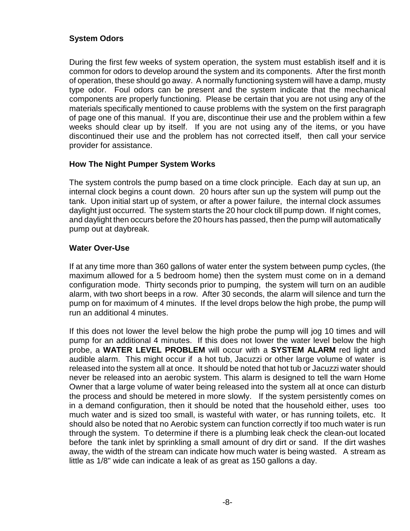#### **System Odors**

During the first few weeks of system operation, the system must establish itself and it is common for odors to develop around the system and its components. After the first month of operation, these should go away. A normally functioning system will have a damp, musty type odor. Foul odors can be present and the system indicate that the mechanical components are properly functioning. Please be certain that you are not using any of the materials specifically mentioned to cause problems with the system on the first paragraph of page one of this manual. If you are, discontinue their use and the problem within a few weeks should clear up by itself. If you are not using any of the items, or you have discontinued their use and the problem has not corrected itself, then call your service provider for assistance.

#### **How The Night Pumper System Works**

The system controls the pump based on a time clock principle. Each day at sun up, an internal clock begins a count down. 20 hours after sun up the system will pump out the tank. Upon initial start up of system, or after a power failure, the internal clock assumes daylight just occurred. The system starts the 20 hour clock till pump down. If night comes, and daylight then occurs before the 20 hours has passed, then the pump will automatically pump out at daybreak.

#### **Water Over-Use**

If at any time more than 360 gallons of water enter the system between pump cycles, (the maximum allowed for a 5 bedroom home) then the system must come on in a demand configuration mode. Thirty seconds prior to pumping, the system will turn on an audible alarm, with two short beeps in a row. After 30 seconds, the alarm will silence and turn the pump on for maximum of 4 minutes. If the level drops below the high probe, the pump will run an additional 4 minutes.

If this does not lower the level below the high probe the pump will jog 10 times and will pump for an additional 4 minutes. If this does not lower the water level below the high probe, a **WATER LEVEL PROBLEM** will occur with a **SYSTEM ALARM** red light and audible alarm. This might occur if a hot tub, Jacuzzi or other large volume of water is released into the system all at once. It should be noted that hot tub or Jacuzzi water should never be released into an aerobic system. This alarm is designed to tell the warn Home Owner that a large volume of water being released into the system all at once can disturb the process and should be metered in more slowly. If the system persistently comes on in a demand configuration, then it should be noted that the household either, uses too much water and is sized too small, is wasteful with water, or has running toilets, etc. It should also be noted that no Aerobic system can function correctly if too much water is run through the system. To determine if there is a plumbing leak check the clean-out located before the tank inlet by sprinkling a small amount of dry dirt or sand. If the dirt washes away, the width of the stream can indicate how much water is being wasted. A stream as little as 1/8" wide can indicate a leak of as great as 150 gallons a day.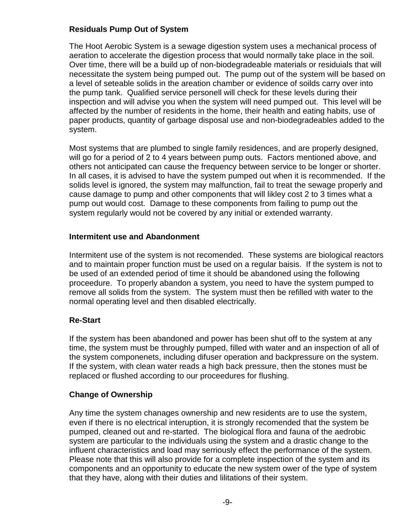#### **Residuals Pump Out of System**

The Hoot Aerobic System is a sewage digestion system uses a mechanical process of aeration to accelerate the digestion process that would normally take place in the soil. Over time, there will be a build up of non-biodegradeable materials or residuials that will necessitate the system being pumped out. The pump out of the system will be based on a level of seteable solids in the areation chamber or evidence of soilds carry over into the pump tank. Qualified service personell will check for these levels during their inspection and will advise you when the system will need pumped out. This level will be affected by the number of residents in the home, their health and eating habits, use of paper products, quantity of garbage disposal use and non-biodegradeables added to the system.

Most systems that are plumbed to single family residences, and are properly designed, will go for a period of 2 to 4 years between pump outs. Factors mentioned above, and others not anticipated can cause the frequency between service to be longer or shorter. In all cases, it is advised to have the system pumped out when it is recommended. If the solids level is ignored, the system may malfunction, fail to treat the sewage properly and cause damage to pump and other components that will likley cost 2 to 3 times what a pump out would cost. Damage to these components from failing to pump out the system regularly would not be covered by any initial or extended warranty.

#### **Intermitent use and Abandonment**

Intermitent use of the system is not recomended. These systems are biological reactors and to maintain proper function must be used on a regular baisis. If the system is not to be used of an extended period of time it should be abandoned using the following proceedure. To properly abandon a system, you need to have the system pumped to remove all solids from the system. The system must then be refilled with water to the normal operating level and then disabled electrically.

#### **Re-Start**

If the system has been abandoned and power has been shut off to the system at any time, the system must be throughly pumped, filled with water and an inspection of all of the system componenets, including difuser operation and backpressure on the system. If the system, with clean water reads a high back pressure, then the stones must be replaced or flushed according to our proceedures for flushing.

#### **Change of Ownership**

Any time the system chanages ownership and new residents are to use the system, even if there is no electrical interuption, it is strongly recomended that the system be pumped, cleaned out and re-started. The biological flora and fauna of the aedrobic system are particular to the individuals using the system and a drastic change to the influent characteristics and load may serriously effect the performance of the system. Please note that this will also provide for a complete inspection of the system and its components and an opportunity to educate the new system ower of the type of system that they have, along with their duties and lilitations of their system.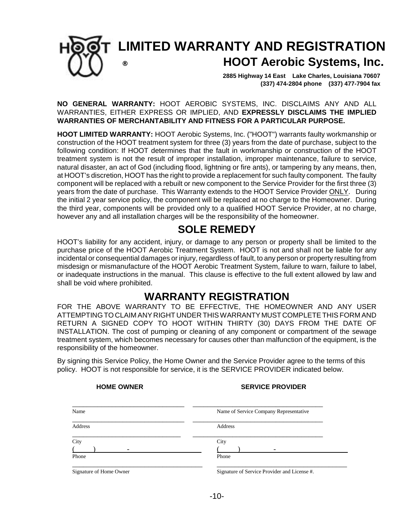

### **LIMITED WARRANTY AND REGISTRATION ® HOOT Aerobic Systems, Inc.**

 **2885 Highway 14 East Lake Charles, Louisiana 70607 (337) 474-2804 phone (337) 477-7904 fax** 

**NO GENERAL WARRANTY:** HOOT AEROBIC SYSTEMS, INC. DISCLAIMS ANY AND ALL WARRANTIES, EITHER EXPRESS OR IMPLIED, AND **EXPRESSLY DISCLAIMS THE IMPLIED WARRANTIES OF MERCHANTABILITY AND FITNESS FOR A PARTICULAR PURPOSE.**

**HOOT LIMITED WARRANTY:** HOOT Aerobic Systems, Inc. ("HOOT") warrants faulty workmanship or construction of the HOOT treatment system for three (3) years from the date of purchase, subject to the following condition: If HOOT determines that the fault in workmanship or construction of the HOOT treatment system is not the result of improper installation, improper maintenance, failure to service, natural disaster, an act of God (including flood, lightning or fire ants), or tampering by any means, then, at HOOT's discretion, HOOT has the right to provide a replacement for such faulty component. The faulty component will be replaced with a rebuilt or new component to the Service Provider for the first three (3) years from the date of purchase. This Warranty extends to the HOOT Service Provider ONLY. During the initial 2 year service policy, the component will be replaced at no charge to the Homeowner. During the third year, components will be provided only to a qualified HOOT Service Provider, at no charge, however any and all installation charges will be the responsibility of the homeowner.

### **SOLE REMEDY**

HOOT's liability for any accident, injury, or damage to any person or property shall be limited to the purchase price of the HOOT Aerobic Treatment System. HOOT is not and shall not be liable for any incidental or consequential damages or injury, regardless of fault, to any person or property resulting from misdesign or mismanufacture of the HOOT Aerobic Treatment System, failure to warn, failure to label, or inadequate instructions in the manual. This clause is effective to the full extent allowed by law and shall be void where prohibited.

#### **WARRANTY REGISTRATION**

FOR THE ABOVE WARRANTY TO BE EFFECTIVE, THE HOMEOWNER AND ANY USER ATTEMPTING TO CLAIM ANY RIGHT UNDER THIS WARRANTY MUST COMPLETE THIS FORM AND RETURN A SIGNED COPY TO HOOT WITHIN THIRTY (30) DAYS FROM THE DATE OF INSTALLATION. The cost of pumping or cleaning of any component or compartment of the sewage treatment system, which becomes necessary for causes other than malfunction of the equipment, is the responsibility of the homeowner.

By signing this Service Policy, the Home Owner and the Service Provider agree to the terms of this policy. HOOT is not responsible for service, it is the SERVICE PROVIDER indicated below.

#### **HOME OWNER SERVICE PROVIDER**

| Name                    | Name of Service Company Representative       |
|-------------------------|----------------------------------------------|
| Address                 | Address                                      |
| City                    | City                                         |
|                         |                                              |
| Phone                   | Phone                                        |
| Signature of Home Owner | Signature of Service Provider and License #. |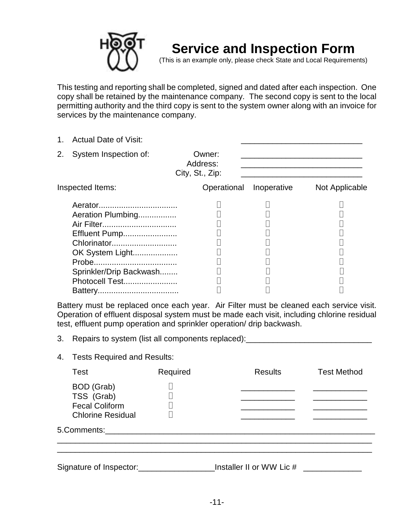

## **Service and Inspection Form**

(This is an example only, please check State and Local Requirements)

This testing and reporting shall be completed, signed and dated after each inspection. One copy shall be retained by the maintenance company. The second copy is sent to the local permitting authority and the third copy is sent to the system owner along with an invoice for services by the maintenance company.

1. Actual Date of Visit:

|  | 2. System Inspection of: |  |
|--|--------------------------|--|
|--|--------------------------|--|

Owner:  $\overline{a}$ Address:

| City, St., Zip: |  |
|-----------------|--|
|                 |  |

| Inspected Items:        | Operational Inoperative | Not Applicable |  |
|-------------------------|-------------------------|----------------|--|
|                         |                         |                |  |
| Aeration Plumbing       |                         |                |  |
|                         |                         |                |  |
| Effluent Pump           |                         |                |  |
| Chlorinator             |                         |                |  |
| OK System Light         |                         |                |  |
|                         |                         |                |  |
| Sprinkler/Drip Backwash |                         |                |  |
| Photocell Test          |                         |                |  |
|                         |                         |                |  |

Battery must be replaced once each year. Air Filter must be cleaned each service visit. Operation of effluent disposal system must be made each visit, including chlorine residual test, effluent pump operation and sprinkler operation/ drip backwash.

- 3. Repairs to system (list all components replaced): \_\_\_\_\_\_\_\_\_\_\_\_\_\_\_\_\_\_\_\_\_\_\_\_\_\_\_
- 4. Tests Required and Results:

| Test                                                                                 | Required | <b>Results</b> | <b>Test Method</b> |
|--------------------------------------------------------------------------------------|----------|----------------|--------------------|
| <b>BOD</b> (Grab)<br>TSS (Grab)<br><b>Fecal Coliform</b><br><b>Chlorine Residual</b> |          |                |                    |
| 5.Comments:                                                                          |          |                |                    |

Signature of Inspector:\_\_\_\_\_\_\_\_\_\_\_\_\_\_\_\_\_Installer II or WW Lic # \_\_\_\_\_\_\_\_\_\_\_\_\_